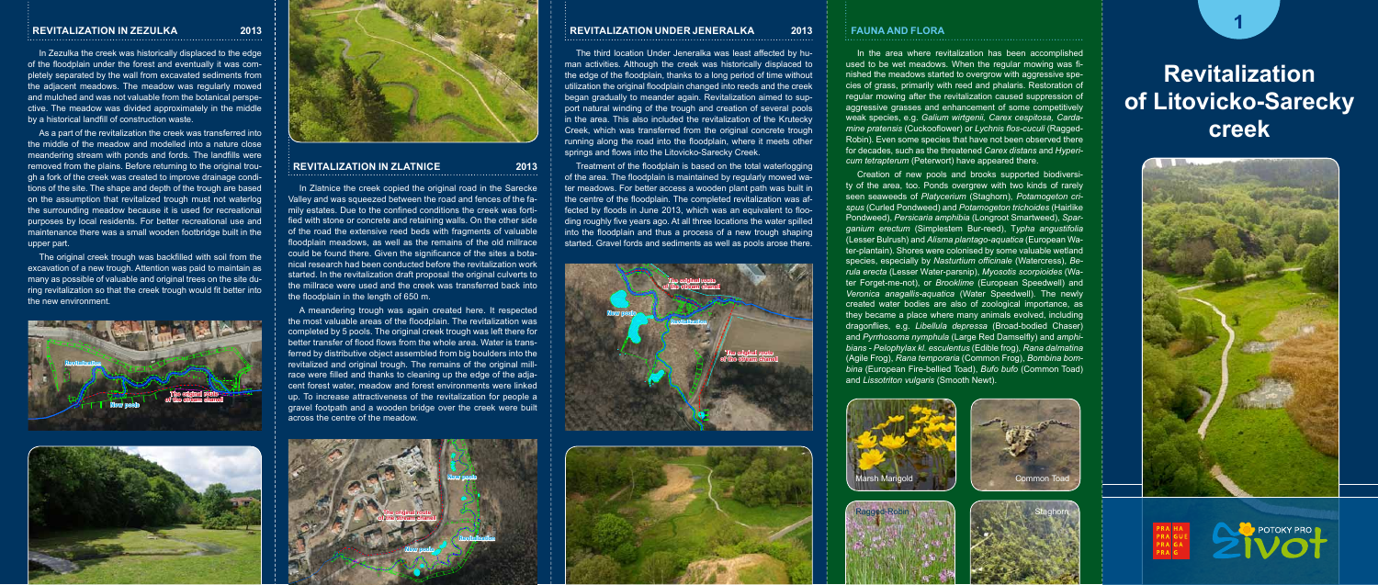#### **REVITALIZATION IN ZEZULKA 2013**

In Zezulka the creek was historically displaced to the edge of the floodplain under the forest and eventually it was completely separated by the wall from excavated sediments from the adjacent meadows. The meadow was regularly mowed and mulched and was not valuable from the botanical perspective. The meadow was divided approximately in the middle by a historical landfill of construction waste.

As a part of the revitalization the creek was transferred into the middle of the meadow and modelled into a nature close meandering stream with ponds and fords. The landfills were removed from the plains. Before returning to the original trough a fork of the creek was created to improve drainage conditions of the site. The shape and depth of the trough are based on the assumption that revitalized trough must not waterlog the surrounding meadow because it is used for recreational purposes by local residents. For better recreational use and maintenance there was a small wooden footbridge built in the upper part.

The original creek trough was backfilled with soil from the excavation of a new trough. Attention was paid to maintain as many as possible of valuable and original trees on the site during revitalization so that the creek trough would fit better into the new environment.

#### **REVITALIZATION UNDER JENERALKA 2013**

In Zlatnice the creek copied the original road in the Sarecke Valley and was squeezed between the road and fences of the family estates. Due to the confined conditions the creek was fortified with stone or concrete and retaining walls. On the other side of the road the extensive reed beds with fragments of valuable floodplain meadows, as well as the remains of the old millrace could be found there. Given the significance of the sites a botanical research had been conducted before the revitalization work started. In the revitalization draft proposal the original culverts to the millrace were used and the creek was transferred back into the floodplain in the length of 650 m.

The third location Under Jeneralka was least affected by human activities. Although the creek was historically displaced to the edge of the floodplain, thanks to a long period of time without utilization the original floodplain changed into reeds and the creek began gradually to meander again. Revitalization aimed to support natural winding of the trough and creation of several pools in the area. This also included the revitalization of the Krutecky Creek, which was transferred from the original concrete trough running along the road into the floodplain, where it meets other springs and flows into the Litovicko-Sarecky Creek.

Treatment of the floodplain is based on the total waterlogging of the area. The floodplain is maintained by regularly mowed water meadows. For better access a wooden plant path was built in the centre of the floodplain. The completed revitalization was affected by floods in June 2013, which was an equivalent to flooding roughly five years ago. At all three locations the water spilled into the floodplain and thus a process of a new trough shaping started. Gravel fords and sediments as well as pools arose there.

# **Revitalization of Litovicko-Sarecky creek**





#### **REVITALIZATION IN ZLATNICE 2013**

#### **1** FAUNA A FLORA **Fauna and Flora**

A meandering trough was again created here. It respected the most valuable areas of the floodplain. The revitalization was completed by 5 pools. The original creek trough was left there for better transfer of flood flows from the whole area. Water is transferred by distributive object assembled from big boulders into the revitalized and original trough. The remains of the original millrace were filled and thanks to cleaning up the edge of the adjacent forest water, meadow and forest environments were linked up. To increase attractiveness of the revitalization for people a gravel footpath and a wooden bridge over the creek were built across the centre of the meadow.

In the area where revitalization has been accomplished used to be wet meadows. When the regular mowing was finished the meadows started to overgrow with aggressive species of grass, primarily with reed and phalaris. Restoration of regular mowing after the revitalization caused suppression of aggressive grasses and enhancement of some competitively weak species, e.g. *Galium wirtgenii, Carex cespitosa, Cardamine pratensis* (Cuckooflower) or *Lychnis flos-cuculi* (Ragged-Robin). Even some species that have not been observed there for decades, such as the threatened *Carex distans* and *Hypericum tetrapterum* (Peterwort) have appeared there.

Creation of new pools and brooks supported biodiversity of the area, too. Ponds overgrew with two kinds of rarely seen seaweeds of *Platycerium* (Staghorn), *Potamogeton crispus* (Curled Pondweed) and *Potamogeton trichoides* (Hairlike Pondweed), *Persicaria amphibia* (Longroot Smartweed), *Sparganium erectum* (Simplestem Bur-reed), T*ypha angustifolia*  (Lesser Bulrush) and *Alisma plantago-aquatica* (European Water-plantain). Shores were colonised by some valuable wetland species, especially by *Nasturtium officinale* (Watercress), *Berula erecta* (Lesser Water-parsnip), *Myosotis scorpioides* (Water Forget-me-not), or *Brooklime* (European Speedwell) and *Veronica anagallis-aquatica* (Water Speedwell). The newly created water bodies are also of zoological importance, as they became a place where many animals evolved, including dragonflies, e.g. *Libellula depressa* (Broad-bodied Chaser) and *Pyrrhosoma nymphula* (Large Red Damselfly) and *amphibians - Pelophylax kl. esculentus* (Edible frog), *Rana dalmatina* (Agile Frog), *Rana temporaria* (Common Frog), *Bombina bombina* (European Fire-bellied Toad), *Bufo bufo* (Common Toad) and *Lissotriton vulgaris* (Smooth Newt).